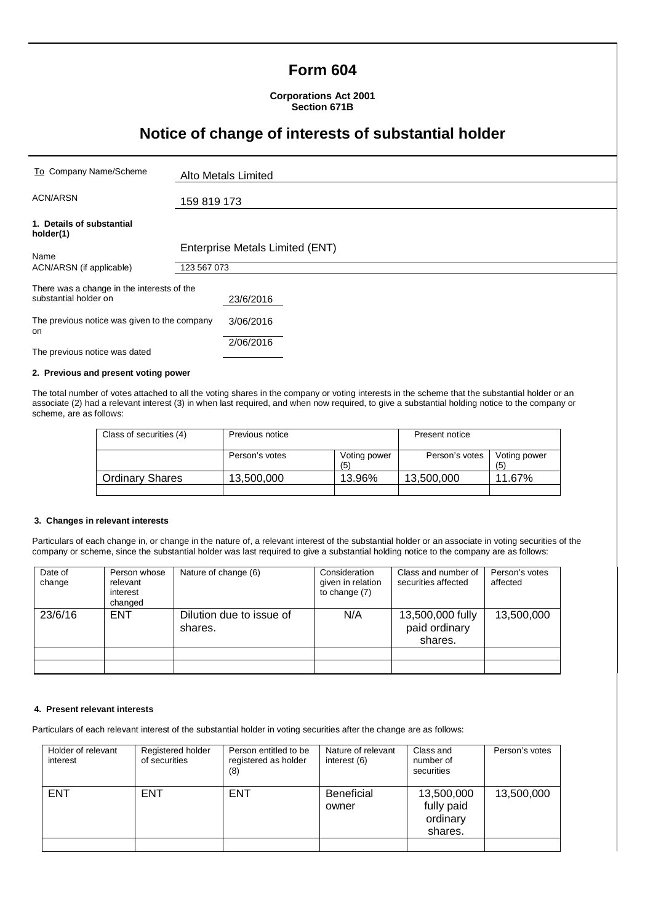# **Form 604**

**Corporations Act 2001 Section 671B**

# **Notice of change of interests of substantial holder**

| To Company Name/Scheme                                              | Alto Metals Limited                            |  |
|---------------------------------------------------------------------|------------------------------------------------|--|
| <b>ACN/ARSN</b>                                                     | 159 819 173                                    |  |
| 1. Details of substantial<br>holder(1)                              |                                                |  |
| Name                                                                | Enterprise Metals Limited (ENT)<br>123 567 073 |  |
| ACN/ARSN (if applicable)                                            |                                                |  |
| There was a change in the interests of the<br>substantial holder on | 23/6/2016                                      |  |
| The previous notice was given to the company<br>on                  | 3/06/2016                                      |  |
| The previous notice was dated                                       | 2/06/2016                                      |  |

### **2. Previous and present voting power**

The total number of votes attached to all the voting shares in the company or voting interests in the scheme that the substantial holder or an associate (2) had a relevant interest (3) in when last required, and when now required, to give a substantial holding notice to the company or scheme, are as follows:

| Class of securities (4) | Previous notice |                     | Present notice |                     |
|-------------------------|-----------------|---------------------|----------------|---------------------|
|                         | Person's votes  | Voting power<br>(5) | Person's votes | Voting power<br>(5) |
| <b>Ordinary Shares</b>  | 13,500,000      | 13.96%              | 13,500,000     | 11.67%              |
|                         |                 |                     |                |                     |

### **3. Changes in relevant interests**

Particulars of each change in, or change in the nature of, a relevant interest of the substantial holder or an associate in voting securities of the company or scheme, since the substantial holder was last required to give a substantial holding notice to the company are as follows:

| Date of<br>change | Person whose<br>relevant<br>interest<br>changed | Nature of change (6)                | Consideration<br>given in relation<br>to change (7) | Class and number of<br>securities affected   | Person's votes<br>affected |
|-------------------|-------------------------------------------------|-------------------------------------|-----------------------------------------------------|----------------------------------------------|----------------------------|
| 23/6/16           | <b>ENT</b>                                      | Dilution due to issue of<br>shares. | N/A                                                 | 13,500,000 fully<br>paid ordinary<br>shares. | 13,500,000                 |
|                   |                                                 |                                     |                                                     |                                              |                            |
|                   |                                                 |                                     |                                                     |                                              |                            |

#### **4. Present relevant interests**

Particulars of each relevant interest of the substantial holder in voting securities after the change are as follows:

| Holder of relevant<br>interest | Registered holder<br>of securities | Person entitled to be<br>registered as holder<br>(8) | Nature of relevant<br>interest (6) | Class and<br>number of<br>securities            | Person's votes |
|--------------------------------|------------------------------------|------------------------------------------------------|------------------------------------|-------------------------------------------------|----------------|
| <b>ENT</b>                     | <b>ENT</b>                         | <b>ENT</b>                                           | <b>Beneficial</b><br>owner         | 13,500,000<br>fully paid<br>ordinary<br>shares. | 13,500,000     |
|                                |                                    |                                                      |                                    |                                                 |                |